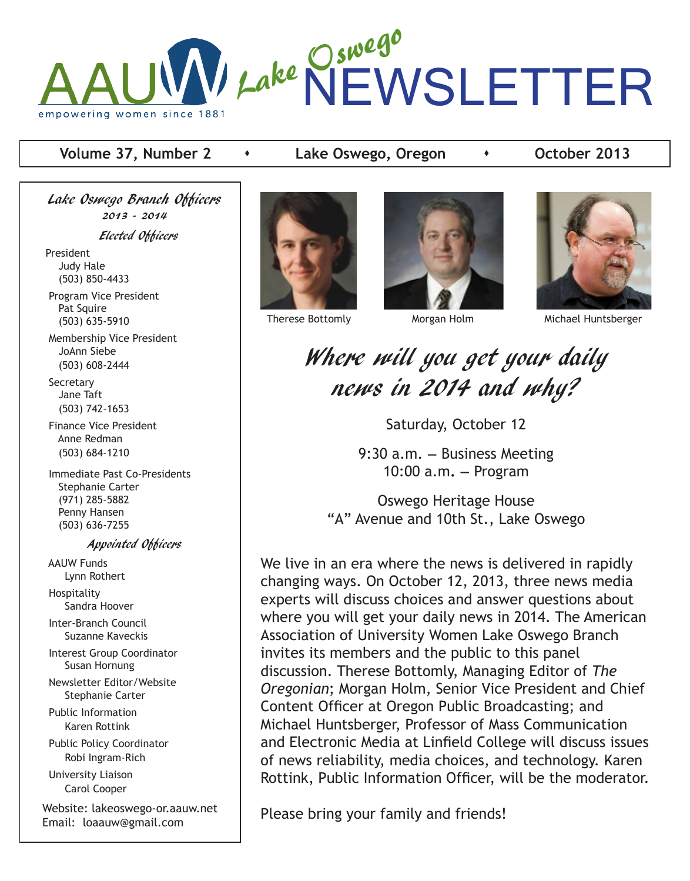

# **Volume 37, Number 2 contact + Lake Oswego, Oregon contact + October 2013**

Lake Oswego Branch Officers 2013 - 2014 Elected Officers President Judy Hale (503) 850-4433 Program Vice President Pat Squire (503) 635-5910

 Membership Vice President JoAnn Siebe (503) 608-2444

**Secretary**  Jane Taft (503) 742-1653

 Finance Vice President Anne Redman (503) 684-1210

 Immediate Past Co-Presidents Stephanie Carter (971) 285-5882 Penny Hansen (503) 636-7255

Appointed Officers

 AAUW Funds Lynn Rothert Hospitality

Sandra Hoover

 Inter-Branch Council Suzanne Kaveckis

 Interest Group Coordinator Susan Hornung

 Newsletter Editor/Website Stephanie Carter

 Public Information Karen Rottink Public Policy Coordinator

Robi Ingram-Rich

 University Liaison Carol Cooper

Website: lakeoswego-or.aauw.net Email: loaauw@gmail.com







Therese Bottomly **Morgan Holm** Michael Huntsberger

Where will you get your daily news in 2014 and why?

Saturday, October 12

9:30 a.m. **—** Business Meeting 10:00 a.m**. —** Program

Oswego Heritage House "A" Avenue and 10th St., Lake Oswego

We live in an era where the news is delivered in rapidly changing ways. On October 12, 2013, three news media experts will discuss choices and answer questions about where you will get your daily news in 2014. The American Association of University Women Lake Oswego Branch invites its members and the public to this panel discussion. Therese Bottomly, Managing Editor of *The Oregonian*; Morgan Holm, Senior Vice President and Chief Content Officer at Oregon Public Broadcasting; and Michael Huntsberger, Professor of Mass Communication and Electronic Media at Linfield College will discuss issues of news reliability, media choices, and technology. Karen Rottink, Public Information Officer, will be the moderator.

Please bring your family and friends!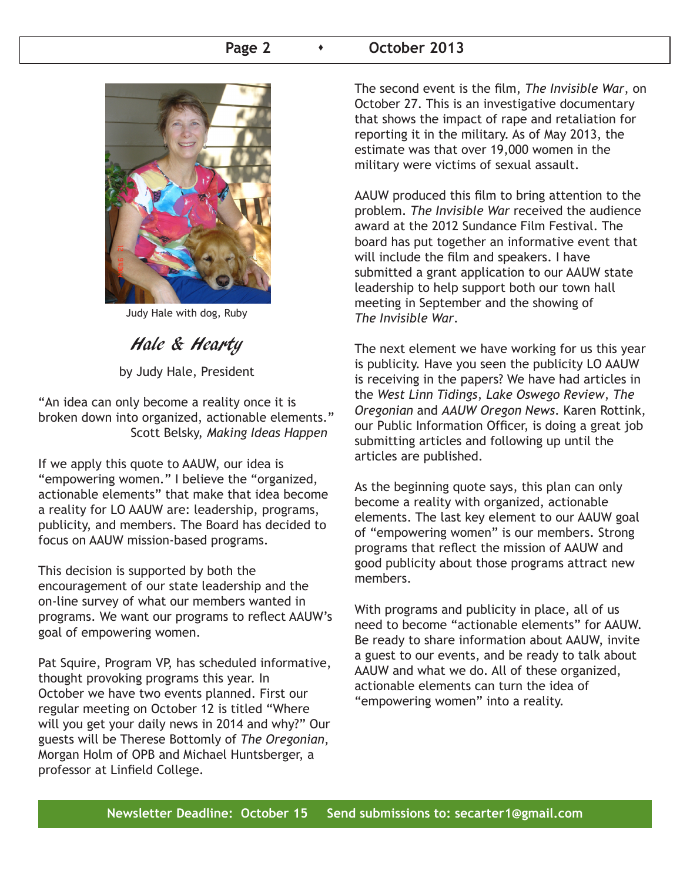## Page 2 **b b** October 2013



Judy Hale with dog, Ruby

Hale & Hearty

by Judy Hale, President

"An idea can only become a reality once it is broken down into organized, actionable elements." Scott Belsky, *Making Ideas Happen*

If we apply this quote to AAUW, our idea is "empowering women." I believe the "organized, actionable elements" that make that idea become a reality for LO AAUW are: leadership, programs, publicity, and members. The Board has decided to focus on AAUW mission-based programs.

This decision is supported by both the encouragement of our state leadership and the on-line survey of what our members wanted in programs. We want our programs to reflect AAUW's goal of empowering women.

Pat Squire, Program VP, has scheduled informative, thought provoking programs this year. In October we have two events planned. First our regular meeting on October 12 is titled "Where will you get your daily news in 2014 and why?" Our guests will be Therese Bottomly of *The Oregonian*, Morgan Holm of OPB and Michael Huntsberger, a professor at Linfield College.

The second event is the film, *The Invisible War*, on October 27. This is an investigative documentary that shows the impact of rape and retaliation for reporting it in the military. As of May 2013, the estimate was that over 19,000 women in the military were victims of sexual assault.

AAUW produced this film to bring attention to the problem. *The Invisible War* received the audience award at the 2012 Sundance Film Festival. The board has put together an informative event that will include the film and speakers. I have submitted a grant application to our AAUW state leadership to help support both our town hall meeting in September and the showing of *The Invisible War*.

The next element we have working for us this year is publicity. Have you seen the publicity LO AAUW is receiving in the papers? We have had articles in the *West Linn Tidings*, *Lake Oswego Review*, *The Oregonian* and *AAUW Oregon News*. Karen Rottink, our Public Information Officer, is doing a great job submitting articles and following up until the articles are published.

As the beginning quote says, this plan can only become a reality with organized, actionable elements. The last key element to our AAUW goal of "empowering women" is our members. Strong programs that reflect the mission of AAUW and good publicity about those programs attract new members.

With programs and publicity in place, all of us need to become "actionable elements" for AAUW. Be ready to share information about AAUW, invite a guest to our events, and be ready to talk about AAUW and what we do. All of these organized, actionable elements can turn the idea of "empowering women" into a reality.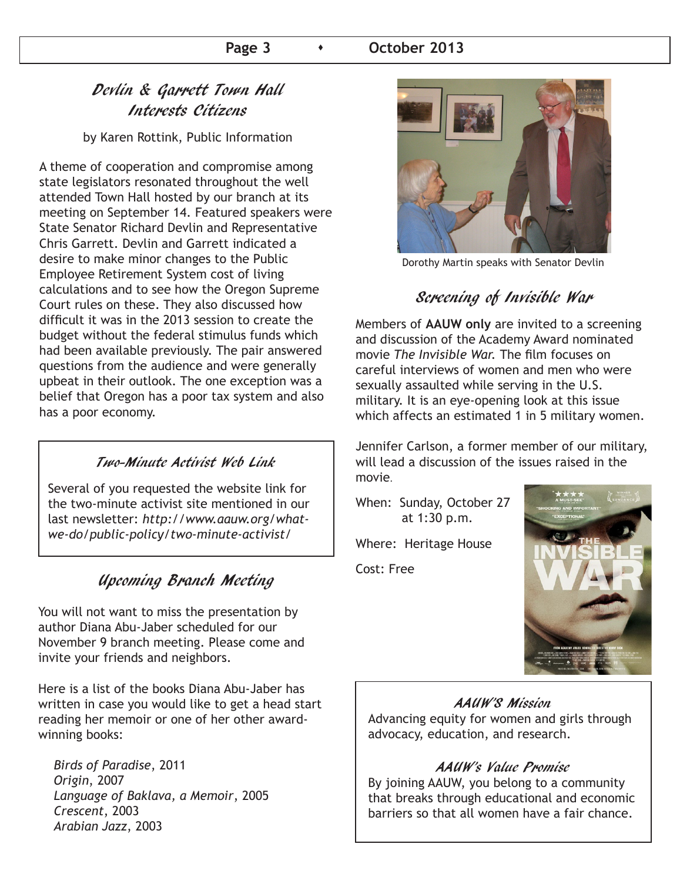### Page 3  $\longrightarrow$  October 2013

# Devlin & Garrett Town Hall Interests Citizens

by Karen Rottink, Public Information

A theme of cooperation and compromise among state legislators resonated throughout the well attended Town Hall hosted by our branch at its meeting on September 14. Featured speakers were State Senator Richard Devlin and Representative Chris Garrett. Devlin and Garrett indicated a desire to make minor changes to the Public Employee Retirement System cost of living calculations and to see how the Oregon Supreme Court rules on these. They also discussed how difficult it was in the 2013 session to create the budget without the federal stimulus funds which had been available previously. The pair answered questions from the audience and were generally upbeat in their outlook. The one exception was a belief that Oregon has a poor tax system and also has a poor economy.

### Two-Minute Activist Web Link

Several of you requested the website link for the two-minute activist site mentioned in our last newsletter: *http://www.aauw.org/whatwe-do/public-policy/two-minute-activist/*

## Upcoming Branch Meeting

You will not want to miss the presentation by author Diana Abu-Jaber scheduled for our November 9 branch meeting. Please come and invite your friends and neighbors.

Here is a list of the books Diana Abu-Jaber has written in case you would like to get a head start reading her memoir or one of her other awardwinning books:

 *Birds of Paradise*, 2011 *Origin*, 2007 *Language of Baklava, a Memoir*, 2005 *Crescent*, 2003 *Arabian Jazz*, 2003



Dorothy Martin speaks with Senator Devlin

## Screening of Invisible War

Members of **AAUW only** are invited to a screening and discussion of the Academy Award nominated movie *The Invisible War.* The film focuses on careful interviews of women and men who were sexually assaulted while serving in the U.S. military. It is an eye-opening look at this issue which affects an estimated 1 in 5 military women.

Jennifer Carlson, a former member of our military, will lead a discussion of the issues raised in the movie.

When: Sunday, October 27 at 1:30 p.m.

Where: Heritage House

Cost: Free



#### AAUW'S Mission

Advancing equity for women and girls through advocacy, education, and research.

#### AAUW's Value Promise

By joining AAUW, you belong to a community that breaks through educational and economic barriers so that all women have a fair chance.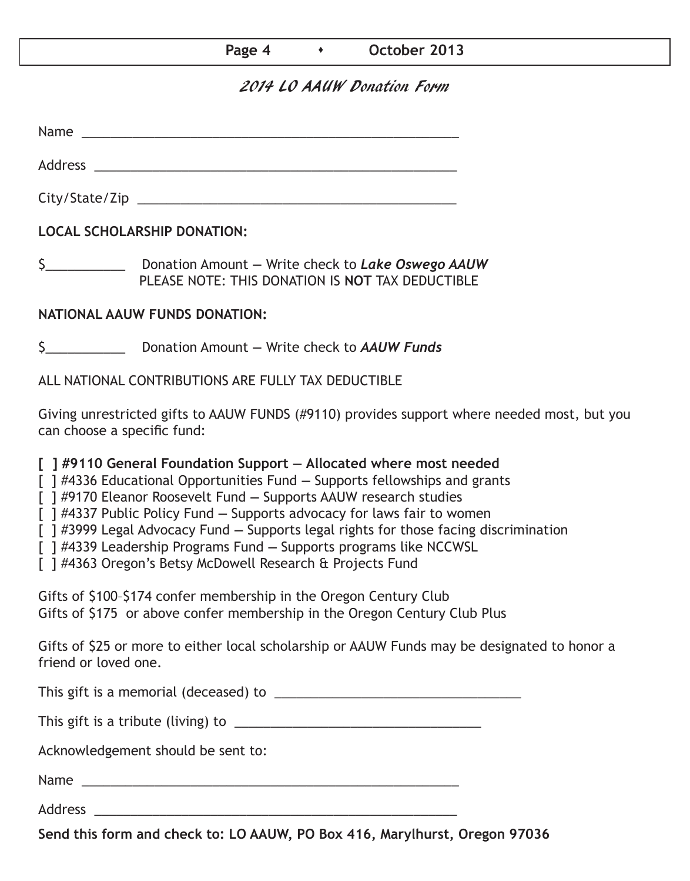## **Page 4 b b October 2013**

## 2014 LO AAUW Donation Form

Name was also as  $\sim$  100  $\mu$  and  $\mu$  and  $\mu$  and  $\mu$  and  $\mu$  and  $\mu$  and  $\mu$  and  $\mu$  and  $\mu$  and  $\mu$  and  $\mu$  and  $\mu$  and  $\mu$  and  $\mu$  and  $\mu$  and  $\mu$  and  $\mu$  and  $\mu$  and  $\mu$  and  $\mu$  and  $\mu$  and  $\mu$  an

City/State/Zip 2000 and 2000 and 2000 and 2000 and 2000 and 2000 and 2000 and 2000 and 2000 and 200

Address \_\_\_\_\_\_\_\_\_\_\_\_\_\_\_\_\_\_\_\_\_\_\_\_\_\_\_\_\_\_\_\_\_\_\_\_\_\_\_\_\_\_\_\_\_\_\_\_\_\_

**LOCAL SCHOLARSHIP DONATION:**

\$\_\_\_\_\_\_\_\_\_\_\_ Donation Amount **—** Write check to *Lake Oswego AAUW* PLEASE NOTE: THIS DONATION IS **NOT** TAX DEDUCTIBLE

## **NATIONAL AAUW FUNDS DONATION:**

\$\_\_\_\_\_\_\_\_\_\_\_ Donation Amount **—** Write check to *AAUW Funds*

ALL NATIONAL CONTRIBUTIONS ARE FULLY TAX DEDUCTIBLE

Giving unrestricted gifts to AAUW FUNDS (#9110) provides support where needed most, but you can choose a specific fund:

**[ ] #9110 General Foundation Support — Allocated where most needed** 

[ ] #4336 Educational Opportunities Fund **—** Supports fellowships and grants

[ ] #9170 Eleanor Roosevelt Fund **—** Supports AAUW research studies

[ ] #4337 Public Policy Fund **—** Supports advocacy for laws fair to women

[ ] #3999 Legal Advocacy Fund **—** Supports legal rights for those facing discrimination

[ ] #4339 Leadership Programs Fund **—** Supports programs like NCCWSL

[ ] #4363 Oregon's Betsy McDowell Research & Projects Fund

Gifts of \$100–\$174 confer membership in the Oregon Century Club Gifts of \$175 or above confer membership in the Oregon Century Club Plus

Gifts of \$25 or more to either local scholarship or AAUW Funds may be designated to honor a friend or loved one.

This gift is a memorial (deceased) to \_\_\_\_\_\_\_\_\_\_\_\_\_\_\_\_\_\_\_\_\_\_\_\_\_\_\_\_\_\_\_\_\_\_

This gift is a tribute (living) to \_\_\_\_\_\_\_\_\_\_\_\_\_\_\_\_\_\_\_\_\_\_\_\_\_\_\_\_\_\_\_\_\_\_

Acknowledgement should be sent to:

Name \_\_\_\_\_\_\_\_\_\_\_\_\_\_\_\_\_\_\_\_\_\_\_\_\_\_\_\_\_\_\_\_\_\_\_\_\_\_\_\_\_\_\_\_\_\_\_\_\_\_\_\_

Address \_\_\_\_\_\_\_\_\_\_\_\_\_\_\_\_\_\_\_\_\_\_\_\_\_\_\_\_\_\_\_\_\_\_\_\_\_\_\_\_\_\_\_\_\_\_\_\_\_\_

**Send this form and check to: LO AAUW, PO Box 416, Marylhurst, Oregon 97036**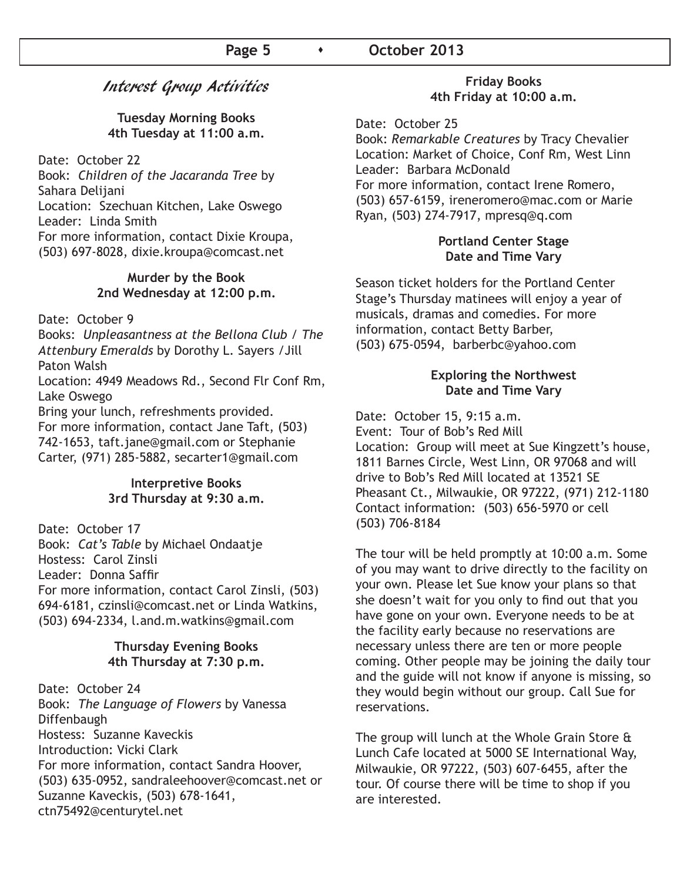# Interest Group Activities

### **Tuesday Morning Books 4th Tuesday at 11:00 a.m.**

Date: October 22

Book: *Children of the Jacaranda Tree* by Sahara Delijani Location: Szechuan Kitchen, Lake Oswego Leader: Linda Smith For more information, contact Dixie Kroupa, (503) 697-8028, dixie.kroupa@comcast.net

### **Murder by the Book 2nd Wednesday at 12:00 p.m.**

Date: October 9

Books: *Unpleasantness at the Bellona Club* / *The Attenbury Emeralds* by Dorothy L. Sayers /Jill Paton Walsh

Location: 4949 Meadows Rd., Second Flr Conf Rm, Lake Oswego

Bring your lunch, refreshments provided.

For more information, contact Jane Taft, (503) 742-1653, taft.jane@gmail.com or Stephanie Carter, (971) 285-5882, secarter1@gmail.com

### **Interpretive Books 3rd Thursday at 9:30 a.m.**

Date: October 17 Book: *Cat's Table* by Michael Ondaatje Hostess: Carol Zinsli Leader: Donna Saffir For more information, contact Carol Zinsli, (503) 694-6181, czinsli@comcast.net or Linda Watkins, (503) 694-2334, l.and.m.watkins@gmail.com

#### **Thursday Evening Books 4th Thursday at 7:30 p.m.**

Date: October 24 Book: *The Language of Flowers* by Vanessa Diffenbaugh Hostess: Suzanne Kaveckis Introduction: Vicki Clark For more information, contact Sandra Hoover, (503) 635-0952, sandraleehoover@comcast.net or Suzanne Kaveckis, (503) 678-1641, ctn75492@centurytel.net

### **Friday Books 4th Friday at 10:00 a.m.**

Date: October 25

Book: *Remarkable Creatures* by Tracy Chevalier Location: Market of Choice, Conf Rm, West Linn Leader: Barbara McDonald For more information, contact Irene Romero, (503) 657-6159, ireneromero@mac.com or Marie Ryan, (503) 274-7917, mpresq@q.com

## **Portland Center Stage Date and Time Vary**

Season ticket holders for the Portland Center Stage's Thursday matinees will enjoy a year of musicals, dramas and comedies. For more information, contact Betty Barber, (503) 675-0594, barberbc@yahoo.com

## **Exploring the Northwest Date and Time Vary**

Date: October 15, 9:15 a.m.

Event: Tour of Bob's Red Mill Location: Group will meet at Sue Kingzett's house, 1811 Barnes Circle, West Linn, OR 97068 and will drive to Bob's Red Mill located at 13521 SE Pheasant Ct., Milwaukie, OR 97222, (971) 212-1180 Contact information: (503) 656-5970 or cell (503) 706-8184

The tour will be held promptly at 10:00 a.m. Some of you may want to drive directly to the facility on your own. Please let Sue know your plans so that she doesn't wait for you only to find out that you have gone on your own. Everyone needs to be at the facility early because no reservations are necessary unless there are ten or more people coming. Other people may be joining the daily tour and the guide will not know if anyone is missing, so they would begin without our group. Call Sue for reservations.

The group will lunch at the Whole Grain Store & Lunch Cafe located at 5000 SE International Way, Milwaukie, OR 97222, (503) 607-6455, after the tour. Of course there will be time to shop if you are interested.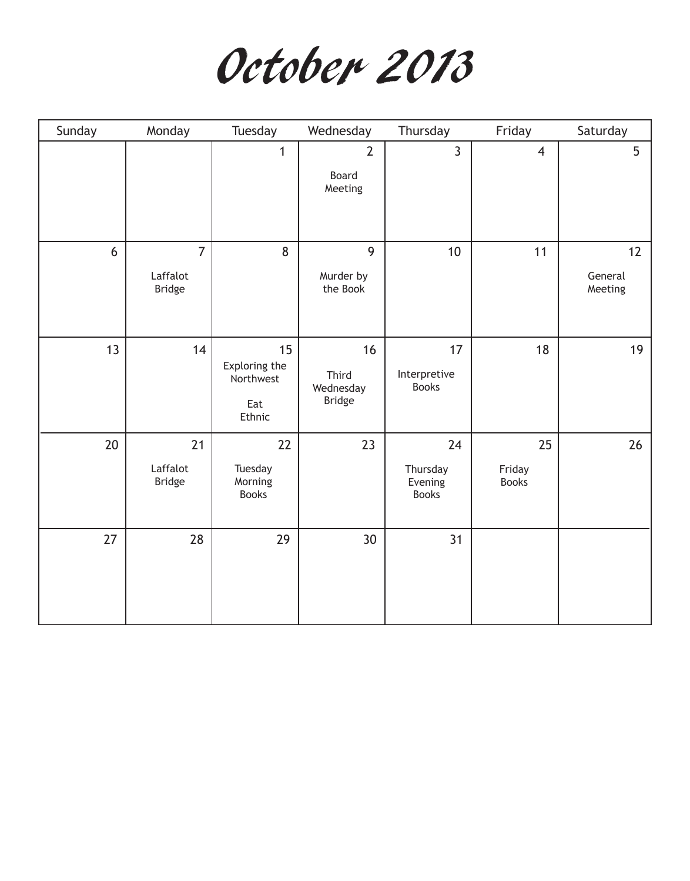

| Sunday | Monday                                      | Tuesday                                           | Wednesday                                 | Thursday                                  | Friday                       | Saturday                 |
|--------|---------------------------------------------|---------------------------------------------------|-------------------------------------------|-------------------------------------------|------------------------------|--------------------------|
|        |                                             | $\mathbf{1}$                                      | $\overline{2}$<br>Board<br>Meeting        | $\overline{3}$                            | $\overline{4}$               | 5                        |
| 6      | $\overline{7}$<br>Laffalot<br><b>Bridge</b> | 8                                                 | 9<br>Murder by<br>the Book                | 10                                        | 11                           | 12<br>General<br>Meeting |
| 13     | 14                                          | 15<br>Exploring the<br>Northwest<br>Eat<br>Ethnic | 16<br>Third<br>Wednesday<br><b>Bridge</b> | 17<br>Interpretive<br><b>Books</b>        | 18                           | 19                       |
| 20     | 21<br>Laffalot<br><b>Bridge</b>             | 22<br>Tuesday<br>Morning<br><b>Books</b>          | 23                                        | 24<br>Thursday<br>Evening<br><b>Books</b> | 25<br>Friday<br><b>Books</b> | 26                       |
| 27     | 28                                          | 29                                                | 30                                        | 31                                        |                              |                          |